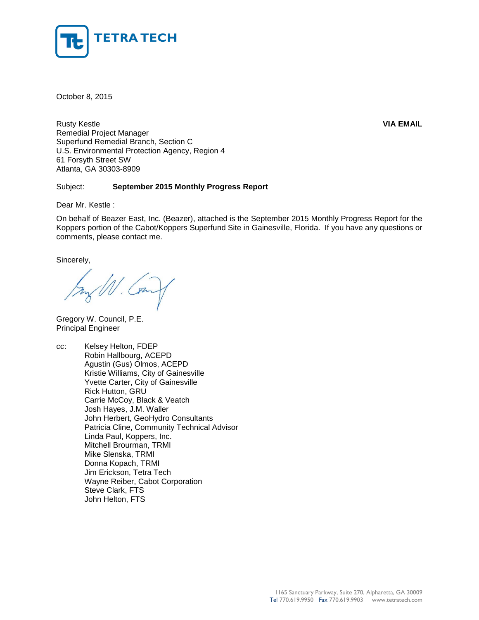

October 8, 2015

Rusty Kestle **VIA EMAIL** Remedial Project Manager Superfund Remedial Branch, Section C U.S. Environmental Protection Agency, Region 4 61 Forsyth Street SW Atlanta, GA 30303-8909

## Subject: **September 2015 Monthly Progress Report**

Dear Mr. Kestle :

On behalf of Beazer East, Inc. (Beazer), attached is the September 2015 Monthly Progress Report for the Koppers portion of the Cabot/Koppers Superfund Site in Gainesville, Florida. If you have any questions or comments, please contact me.

Sincerely,

Gregory W. Council, P.E. Principal Engineer

cc: Kelsey Helton, FDEP Robin Hallbourg, ACEPD Agustin (Gus) Olmos, ACEPD Kristie Williams, City of Gainesville Yvette Carter, City of Gainesville Rick Hutton, GRU Carrie McCoy, Black & Veatch Josh Hayes, J.M. Waller John Herbert, GeoHydro Consultants Patricia Cline, Community Technical Advisor Linda Paul, Koppers, Inc. Mitchell Brourman, TRMI Mike Slenska, TRMI Donna Kopach, TRMI Jim Erickson, Tetra Tech Wayne Reiber, Cabot Corporation Steve Clark, FTS John Helton, FTS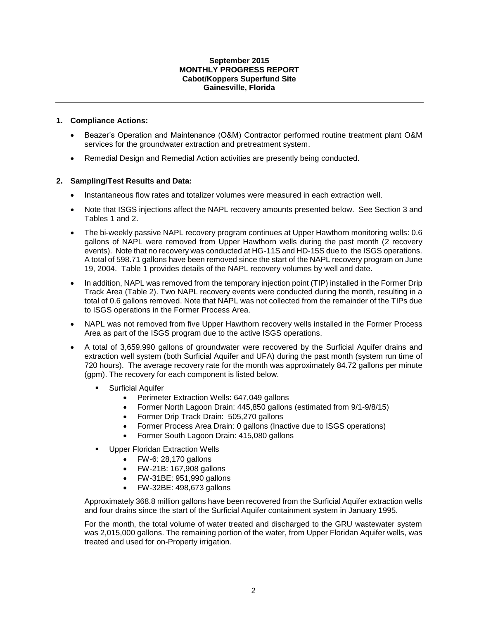#### **September 2015 MONTHLY PROGRESS REPORT Cabot/Koppers Superfund Site Gainesville, Florida**

# **1. Compliance Actions:**

- Beazer's Operation and Maintenance (O&M) Contractor performed routine treatment plant O&M services for the groundwater extraction and pretreatment system.
- Remedial Design and Remedial Action activities are presently being conducted.

## **2. Sampling/Test Results and Data:**

- Instantaneous flow rates and totalizer volumes were measured in each extraction well.
- Note that ISGS injections affect the NAPL recovery amounts presented below. See Section 3 and Tables 1 and 2.
- The bi-weekly passive NAPL recovery program continues at Upper Hawthorn monitoring wells: 0.6 gallons of NAPL were removed from Upper Hawthorn wells during the past month (2 recovery events). Note that no recovery was conducted at HG-11S and HD-15S due to the ISGS operations. A total of 598.71 gallons have been removed since the start of the NAPL recovery program on June 19, 2004. Table 1 provides details of the NAPL recovery volumes by well and date.
- In addition, NAPL was removed from the temporary injection point (TIP) installed in the Former Drip Track Area (Table 2). Two NAPL recovery events were conducted during the month, resulting in a total of 0.6 gallons removed. Note that NAPL was not collected from the remainder of the TIPs due to ISGS operations in the Former Process Area.
- NAPL was not removed from five Upper Hawthorn recovery wells installed in the Former Process Area as part of the ISGS program due to the active ISGS operations.
- A total of 3,659,990 gallons of groundwater were recovered by the Surficial Aquifer drains and extraction well system (both Surficial Aquifer and UFA) during the past month (system run time of 720 hours). The average recovery rate for the month was approximately 84.72 gallons per minute (gpm). The recovery for each component is listed below.
	- Surficial Aquifer
		- Perimeter Extraction Wells: 647,049 gallons
		- Former North Lagoon Drain: 445,850 gallons (estimated from 9/1-9/8/15)
		- Former Drip Track Drain: 505,270 gallons
		- Former Process Area Drain: 0 gallons (Inactive due to ISGS operations)
		- Former South Lagoon Drain: 415,080 gallons
	- Upper Floridan Extraction Wells
		- FW-6: 28,170 gallons
		- FW-21B: 167,908 gallons
		- FW-31BE: 951,990 gallons
		- FW-32BE: 498,673 gallons

Approximately 368.8 million gallons have been recovered from the Surficial Aquifer extraction wells and four drains since the start of the Surficial Aquifer containment system in January 1995.

For the month, the total volume of water treated and discharged to the GRU wastewater system was 2,015,000 gallons. The remaining portion of the water, from Upper Floridan Aquifer wells, was treated and used for on-Property irrigation.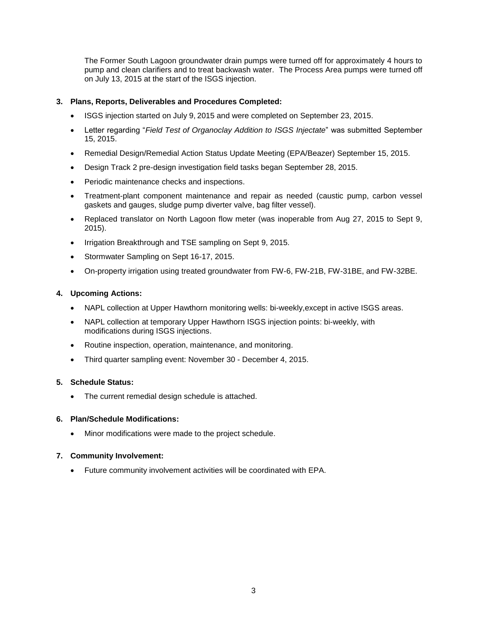The Former South Lagoon groundwater drain pumps were turned off for approximately 4 hours to pump and clean clarifiers and to treat backwash water. The Process Area pumps were turned off on July 13, 2015 at the start of the ISGS injection.

# **3. Plans, Reports, Deliverables and Procedures Completed:**

- ISGS injection started on July 9, 2015 and were completed on September 23, 2015.
- Letter regarding "*Field Test of Organoclay Addition to ISGS Injectate*" was submitted September 15, 2015.
- Remedial Design/Remedial Action Status Update Meeting (EPA/Beazer) September 15, 2015.
- Design Track 2 pre-design investigation field tasks began September 28, 2015.
- Periodic maintenance checks and inspections.
- Treatment-plant component maintenance and repair as needed (caustic pump, carbon vessel gaskets and gauges, sludge pump diverter valve, bag filter vessel).
- Replaced translator on North Lagoon flow meter (was inoperable from Aug 27, 2015 to Sept 9, 2015).
- Irrigation Breakthrough and TSE sampling on Sept 9, 2015.
- Stormwater Sampling on Sept 16-17, 2015.
- On-property irrigation using treated groundwater from FW-6, FW-21B, FW-31BE, and FW-32BE.

#### **4. Upcoming Actions:**

- NAPL collection at Upper Hawthorn monitoring wells: bi-weekly,except in active ISGS areas.
- NAPL collection at temporary Upper Hawthorn ISGS injection points: bi-weekly, with modifications during ISGS injections.
- Routine inspection, operation, maintenance, and monitoring.
- Third quarter sampling event: November 30 December 4, 2015.

#### **5. Schedule Status:**

• The current remedial design schedule is attached.

#### **6. Plan/Schedule Modifications:**

Minor modifications were made to the project schedule.

#### **7. Community Involvement:**

Future community involvement activities will be coordinated with EPA.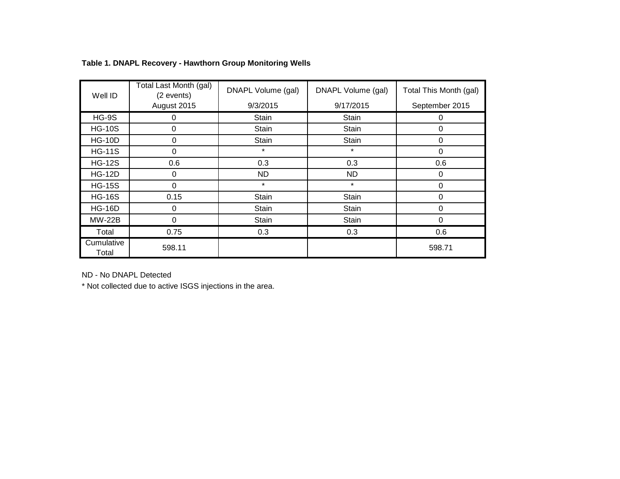| Well ID             | Total Last Month (gal)<br>(2 events) | DNAPL Volume (gal) | DNAPL Volume (gal) | Total This Month (gal) |  |
|---------------------|--------------------------------------|--------------------|--------------------|------------------------|--|
|                     | August 2015                          | 9/3/2015           | 9/17/2015          | September 2015         |  |
| $HG-9S$             | 0                                    | Stain              | Stain              | 0                      |  |
| <b>HG-10S</b>       | 0                                    | Stain              | Stain              | 0                      |  |
| <b>HG-10D</b>       | 0                                    | <b>Stain</b>       | <b>Stain</b>       | 0                      |  |
| <b>HG-11S</b>       | 0                                    | $\star$            | $\star$            | 0                      |  |
| <b>HG-12S</b>       | 0.6                                  | 0.3                | 0.3                | 0.6                    |  |
| <b>HG-12D</b>       | 0                                    | <b>ND</b>          | ND.                | 0                      |  |
| <b>HG-15S</b>       | 0                                    | $\star$            | $\star$            | 0                      |  |
| <b>HG-16S</b>       | 0.15                                 | Stain              | Stain              | 0                      |  |
| <b>HG-16D</b>       | 0                                    | Stain              | <b>Stain</b>       | $\Omega$               |  |
| <b>MW-22B</b>       | 0                                    | Stain              | <b>Stain</b>       | 0                      |  |
| Total               | 0.75                                 | 0.3                | 0.3                | 0.6                    |  |
| Cumulative<br>Total | 598.11                               |                    |                    | 598.71                 |  |

# **Table 1. DNAPL Recovery - Hawthorn Group Monitoring Wells**

ND - No DNAPL Detected

\* Not collected due to active ISGS injections in the area.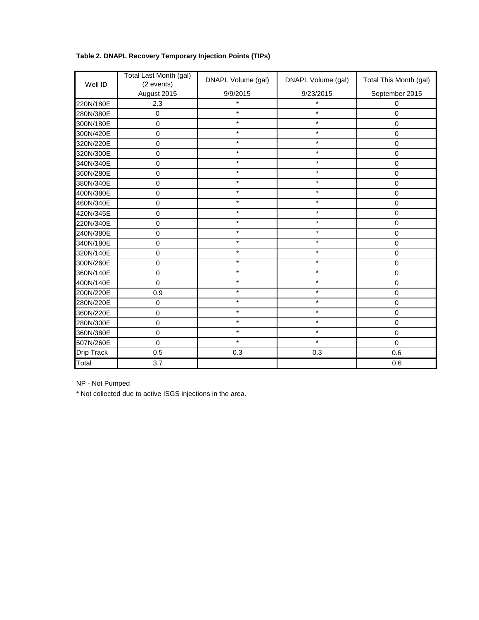| Table 2. DNAPL Recovery Temporary Injection Points (TIPs) |  |  |  |  |  |  |
|-----------------------------------------------------------|--|--|--|--|--|--|
|-----------------------------------------------------------|--|--|--|--|--|--|

| Well ID    | Total Last Month (gal)<br>(2 events) | DNAPL Volume (gal) | DNAPL Volume (gal) | Total This Month (gal) |
|------------|--------------------------------------|--------------------|--------------------|------------------------|
|            | August 2015                          | 9/9/2015           | 9/23/2015          | September 2015         |
| 220N/180E  | 2.3                                  | $\star$            | $\star$            | $\boldsymbol{0}$       |
| 280N/380E  | $\mathbf 0$                          | $\star$            | $\star$            | $\overline{0}$         |
| 300N/180E  | $\mathbf 0$                          | $\star$            | $\star$            | $\mathbf 0$            |
| 300N/420E  | $\mathbf 0$                          | $\star$            | $\star$            | $\mathbf 0$            |
| 320N/220E  | $\mathbf 0$                          | $\star$            | $\star$            | $\boldsymbol{0}$       |
| 320N/300E  | $\mathbf 0$                          | $\star$            | $\star$            | $\mathbf 0$            |
| 340N/340E  | $\boldsymbol{0}$                     | $\star$            | $\star$            | $\mathbf 0$            |
| 360N/280E  | $\mathbf 0$                          | $\star$            | $\star$            | $\mathbf 0$            |
| 380N/340E  | $\mathbf 0$                          | $\star$            | $\star$            | $\boldsymbol{0}$       |
| 400N/380E  | $\mathbf 0$                          | $\star$            | $\star$            | 0                      |
| 460N/340E  | $\mathbf 0$                          | $\star$            | $\star$            | $\mathbf 0$            |
| 420N/345E  | $\mathbf 0$                          | $\star$            | $\star$            | 0                      |
| 220N/340E  | $\boldsymbol{0}$                     | $\star$            | $\star$            | $\mathbf 0$            |
| 240N/380E  | $\mathbf 0$                          | $\star$            | $\star$            | 0                      |
| 340N/180E  | $\mathbf 0$                          | $\star$            | $\star$            | 0                      |
| 320N/140E  | $\mathbf 0$                          | $\star$            | $\star$            | 0                      |
| 300N/260E  | $\mathbf 0$                          | $\star$            | $\star$            | $\mathbf 0$            |
| 360N/140E  | $\mathbf 0$                          | $\star$            | $\star$            | 0                      |
| 400N/140E  | $\mathbf 0$                          | $\star$            | $\star$            | 0                      |
| 200N/220E  | 0.9                                  | $\star$            | $\star$            | $\overline{0}$         |
| 280N/220E  | $\boldsymbol{0}$                     | $\star$            | $\star$            | $\boldsymbol{0}$       |
| 360N/220E  | $\boldsymbol{0}$                     | $\star$            | $\star$            | $\mathsf 0$            |
| 280N/300E  | $\mathbf 0$                          | $\star$            | $\star$            | $\mathbf 0$            |
| 360N/380E  | $\mathbf 0$                          | $\star$            | $\star$            | $\mathbf 0$            |
| 507N/260E  | $\mathbf 0$                          | $\star$            | $\star$            | $\mathbf 0$            |
| Drip Track | 0.5                                  | 0.3                | 0.3                | 0.6                    |
| Total      | 3.7                                  |                    |                    | 0.6                    |

NP - Not Pumped

\* Not collected due to active ISGS injections in the area.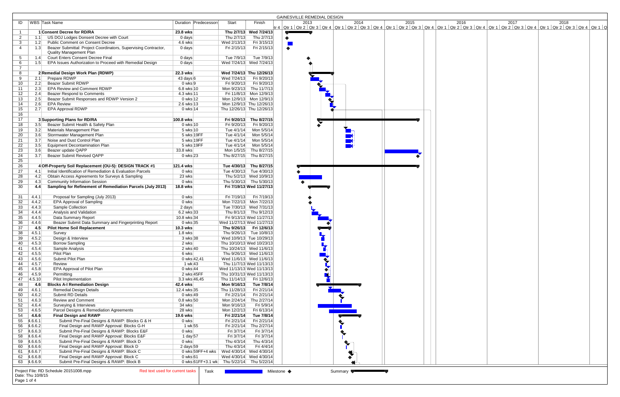|                             |                                                                                                   |                                           |                          |                                        | <b>GAINESVILLE REMEDIAL DESIGN</b>                                                                                                                                                                                                                                           |
|-----------------------------|---------------------------------------------------------------------------------------------------|-------------------------------------------|--------------------------|----------------------------------------|------------------------------------------------------------------------------------------------------------------------------------------------------------------------------------------------------------------------------------------------------------------------------|
| ID                          | WBS Task Name                                                                                     | Duration Predecessors                     | Start                    | Finish                                 | 2013<br>2014<br>2017<br>2018<br>2015<br>2016<br>tr 4   Qtr 1   Qtr 2   Qtr 3   Qtr 4   Qtr 1   Qtr 2   Qtr 3   Qtr 4   Qtr 1   Qtr 2   Qtr 3   Qtr 4   Qtr 1   Qtr 2   Qtr 4   Qtr 1   Qtr 3   Qtr 4   Qtr 1   Qtr 2   Qtr 3   Qtr 4   Qtr 1   Qtr 2   Qtr 3   Qtr 4   Qtr 1 |
|                             | 1 Consent Decree for RD/RA                                                                        | 23.8 wks                                  |                          | Thu 2/7/13 Wed 7/24/13                 |                                                                                                                                                                                                                                                                              |
| $\overline{2}$<br>1.1       | US DOJ Lodges Donsent Decree with Court                                                           | 0 days                                    | Thu 2/7/13               | Thu 2/7/13                             |                                                                                                                                                                                                                                                                              |
| 3<br>1.2                    | <b>Public Comment on Consent Decree</b>                                                           | 4.6 wks                                   | Wed 2/13/13              | Fri 3/15/13                            |                                                                                                                                                                                                                                                                              |
| 4<br>1.3                    | Beazer Submittal: Project Coordinators, Supervising Contractor,<br><b>Quality Management Plan</b> | 0 days                                    | Fri 2/15/13              | Fri 2/15/13                            | $\bullet$                                                                                                                                                                                                                                                                    |
| $5^{\circ}$<br>1.4          | <b>Court Enters Consent Decree Final</b>                                                          | 0 days                                    | Tue 7/9/13               | Tue 7/9/13                             |                                                                                                                                                                                                                                                                              |
| 6<br>1.5                    | EPA Issues Authorization to Proceed with Remedial Design                                          | 0 days                                    |                          | Wed 7/24/13 Wed 7/24/13                |                                                                                                                                                                                                                                                                              |
| $\overline{7}$              |                                                                                                   |                                           |                          |                                        |                                                                                                                                                                                                                                                                              |
| 8                           | 2 Remedial Design Work Plan (RDWP)                                                                | 22.3 wks                                  |                          | Wed 7/24/13 Thu 12/26/13               |                                                                                                                                                                                                                                                                              |
| 9<br>2.1                    | Prepare RDWP                                                                                      | 43 days 6                                 | Wed 7/24/13              | Fri 9/20/13                            |                                                                                                                                                                                                                                                                              |
| 10<br>2.2                   | <b>Beazer Submit RDWP</b>                                                                         | $0$ wks $9$                               |                          | Fri 9/20/13   Fri 9/20/13              |                                                                                                                                                                                                                                                                              |
| 11<br>2.3                   | EPA Review and Comment RDWP                                                                       | 6.8 wks 10                                |                          | Mon 9/23/13 Thu 11/7/13                |                                                                                                                                                                                                                                                                              |
| 12<br>2.4                   | Beazer Respond to Comments                                                                        | 4.3 wks 11                                |                          | Fri 11/8/13 Mon 12/9/13                |                                                                                                                                                                                                                                                                              |
| 13<br>2.5                   | Beazer Submit Responses and RDWP Version 2                                                        | 0 wks 12                                  |                          | Mon 12/9/13 Mon 12/9/13                |                                                                                                                                                                                                                                                                              |
| 2.6<br>14                   | <b>EPA Review</b>                                                                                 | 2.6 wks 13                                |                          | Mon 12/9/13 Thu 12/26/13               |                                                                                                                                                                                                                                                                              |
| 15<br>2.7                   | <b>EPA Approval RDWP</b>                                                                          | 0 wks 14                                  |                          | Thu 12/26/13 Thu 12/26/13              |                                                                                                                                                                                                                                                                              |
| 16                          |                                                                                                   |                                           |                          |                                        |                                                                                                                                                                                                                                                                              |
| 17                          | 3 Supporting Plans for RD/RA                                                                      | 100.8 wks                                 |                          | Fri 9/20/13 Thu 8/27/15                |                                                                                                                                                                                                                                                                              |
| 18<br>3.5                   | Beazer Submit Health & Safety Plan<br>Materials Management Plan                                   | 0 wks 10                                  | Fri 9/20/13              | Fri 9/20/13                            |                                                                                                                                                                                                                                                                              |
| 19<br>3.2<br>20<br>3.6      | Stormwater Management Plan                                                                        | 5 wks 10<br>5 wks 19FF                    | Tue 4/1/14<br>Tue 4/1/14 | Mon 5/5/14<br>Mon 5/5/14               |                                                                                                                                                                                                                                                                              |
| 21<br>3.7                   | Noise and Dust Control Plan                                                                       | 5 wks 19FF                                | Tue 4/1/14               | Mon 5/5/14                             |                                                                                                                                                                                                                                                                              |
| 22<br>3.5                   | <b>Equipment Decontamination Plan</b>                                                             | 5 wks 19FF                                |                          | Tue 4/1/14 Mon 5/5/14                  |                                                                                                                                                                                                                                                                              |
| 23<br>3.6                   | Beazer update QAPP                                                                                | 33.8 wks                                  |                          | Mon 1/5/15 Thu 8/27/15                 |                                                                                                                                                                                                                                                                              |
| 24<br>3.7                   | <b>Beazer Submit Revised QAPP</b>                                                                 | 0 wks 23                                  |                          | Thu 8/27/15 Thu 8/27/15                |                                                                                                                                                                                                                                                                              |
| 25                          |                                                                                                   |                                           |                          |                                        |                                                                                                                                                                                                                                                                              |
| 26                          | 4 Off-Property Soil Replacement (OU-5): DESIGN TRACK #1                                           | 121.4 wks                                 |                          | Tue 4/30/13 Thu 8/27/15                |                                                                                                                                                                                                                                                                              |
| 27<br>4.1                   | Initial Identification of Remediation & Evaluation Parcels                                        | 0 wks                                     |                          | Tue 4/30/13 Tue 4/30/13                |                                                                                                                                                                                                                                                                              |
| 28<br>4.2                   | Obtain Access Agreements for Surveys & Sampling                                                   | 23 wks                                    |                          | Thu 5/2/13 Wed 10/9/13                 |                                                                                                                                                                                                                                                                              |
| 29<br>4.3                   | <b>Community Information Session</b>                                                              | 0 wks                                     |                          | Thu 5/30/13 Thu 5/30/13                |                                                                                                                                                                                                                                                                              |
| 30<br>4.4                   | Sampling for Refinement of Remediation Parcels (July 2013)                                        | 18.8 wks                                  |                          | Fri 7/19/13 Wed 11/27/13               |                                                                                                                                                                                                                                                                              |
| 31<br>4.4.1                 | Proposal for Sampling (July 2013)                                                                 | 0 wks                                     |                          | Fri 7/19/13 Fri 7/19/13                |                                                                                                                                                                                                                                                                              |
| 32<br>4.4.2                 | <b>EPA Approval of Sampling</b>                                                                   | 0 wks                                     |                          | Mon 7/22/13 Mon 7/22/13                |                                                                                                                                                                                                                                                                              |
| 33<br>4.4.3                 | Sample Collection                                                                                 | 2 days                                    |                          | Tue 7/30/13 Wed 7/31/13                |                                                                                                                                                                                                                                                                              |
| 34<br>4.4.4                 | Analysis and Validation                                                                           | 6.2 wks 33                                |                          | Thu 8/1/13 Thu 9/12/13                 |                                                                                                                                                                                                                                                                              |
| 35<br>4.4.5                 | Data Summary Report                                                                               | 10.8 wks 34                               |                          | Fri 9/13/13 Wed 11/27/13               |                                                                                                                                                                                                                                                                              |
| 36<br>4.4.6                 | Beazer Submit Data Summary and Fingerprinting Report                                              | 0 wks 35                                  |                          | Wed 11/27/13 Wed 11/27/13              |                                                                                                                                                                                                                                                                              |
| 37<br>4.5                   | <b>Pilot Home Soil Replacement</b>                                                                | 10.3 wks                                  |                          | Thu 9/26/13 Fri 12/6/13                |                                                                                                                                                                                                                                                                              |
| 38<br>4.5.1                 | Survey                                                                                            | $1.8$ wks                                 |                          | Thu 9/26/13 Tue 10/8/13                |                                                                                                                                                                                                                                                                              |
| 39<br>4.5.2                 | Design & Interview                                                                                | 3 wks 38                                  |                          | Wed 10/9/13 Tue 10/29/13               |                                                                                                                                                                                                                                                                              |
| 4.5.3<br>40                 | <b>Borrow Sampling</b>                                                                            | 2 wks                                     |                          | Thu 10/10/13 Wed 10/23/13              |                                                                                                                                                                                                                                                                              |
| 4.5.4<br>41                 | Sample Analysis                                                                                   | 2 wks 40                                  |                          | Thu 10/24/13 Wed 11/6/13               |                                                                                                                                                                                                                                                                              |
| 4.5.5<br>42                 | Pilot Plan                                                                                        | 6 wks                                     |                          | Thu 9/26/13 Wed 11/6/13                |                                                                                                                                                                                                                                                                              |
| 4.5.6<br>43                 | Submit Pilot Plan                                                                                 | 0 wks 42,41                               |                          | Wed 11/6/13 Wed 11/6/13                |                                                                                                                                                                                                                                                                              |
| 44<br>4.5.7                 | Review                                                                                            | 1 wk 43                                   |                          | Thu 11/7/13 Wed 11/13/13               |                                                                                                                                                                                                                                                                              |
| 4.5.8<br>45                 | EPA Approval of Pilot Plan                                                                        | 0 wks 44                                  |                          | Wed 11/13/13 Wed 11/13/13              |                                                                                                                                                                                                                                                                              |
| 46<br>4.5.9                 | Permitting<br>Pilot Implementation                                                                | 2 wks 45FF<br>3.3 wks 46,45               |                          | Thu 10/31/13 Wed 11/13/13              |                                                                                                                                                                                                                                                                              |
| 47<br> 4.5.10 <br>48<br>4.6 | <b>Blocks A-I Remediation Design</b>                                                              | 42.4 wks                                  | Mon 9/16/13              | Thu 11/14/13 Fri 12/6/13<br>Tue 7/8/14 |                                                                                                                                                                                                                                                                              |
| 4.6.1<br>49                 | <b>Remedial Design Details</b>                                                                    | 12.4 wks 35                               | Thu 11/28/13             | Fri 2/21/14                            | $\overline{\phantom{a}}$                                                                                                                                                                                                                                                     |
| 50<br>4.6.2                 | Submit RD Details                                                                                 | 0 wks 49                                  | Fri 2/21/14              | Fri 2/21/14                            |                                                                                                                                                                                                                                                                              |
| 51<br>4.6.3                 | <b>Review and Comment</b>                                                                         | 0.8 wks 50                                | Mon 2/24/14              | Thu 2/27/14                            |                                                                                                                                                                                                                                                                              |
| 52<br>4.6.4                 | Surveying & Interviews                                                                            | 34 wks                                    | Mon 9/16/13              | Fri 5/9/14                             |                                                                                                                                                                                                                                                                              |
| 53<br>4.6.5                 | Parcel Designs & Remediation Agreements                                                           | 28 wks                                    | Mon 12/2/13              | Fri 6/13/14                            |                                                                                                                                                                                                                                                                              |
| 54<br>4.6.6                 | <b>Final Design and RAWP</b>                                                                      | 19.6 wks                                  | Fri 2/21/14              | Tue 7/8/14                             |                                                                                                                                                                                                                                                                              |
| 55 4.6.6.1                  | Submit Pre-Final Designs & RAWP: Blocks G & H                                                     | 0 wks                                     | Fri 2/21/14              | Fri 2/21/14                            |                                                                                                                                                                                                                                                                              |
| 56 4.6.6.2                  | Final Design and RAWP Approval: Blocks G-H                                                        | 1 wk 55                                   | Fri 2/21/14              | Thu 2/27/14                            |                                                                                                                                                                                                                                                                              |
| 57 4.6.6.3                  | Submit Pre-Final Designs & RAWP: Blocks E&F                                                       | 0 wks                                     | Fri 3/7/14               | Fri 3/7/14                             |                                                                                                                                                                                                                                                                              |
| 58 4.6.6.4                  | Final Design and RAWP Approval: Blocks E&F                                                        | 1 day 57                                  | Fri 3/7/14               | Fri 3/7/14                             |                                                                                                                                                                                                                                                                              |
| 59 4.6.6.5                  | Submit Pre-Final Designs & RAWP: Block D                                                          | 0 wks                                     | Thu 4/3/14               | Thu 4/3/14                             | ❤                                                                                                                                                                                                                                                                            |
| 60 4.6.6.6                  | Final Design and RAWP Approval: Block D                                                           | 2 days 59                                 | Thu 4/3/14               | Fri 4/4/14                             |                                                                                                                                                                                                                                                                              |
| 61 4.6.6.7                  | Submit Pre-Final Designs & RAWP: Block C                                                          | 0 wks 59FF+4 wks                          |                          | Wed 4/30/14 Wed 4/30/14                |                                                                                                                                                                                                                                                                              |
| 62 4.6.6.8                  | Final Design and RAWP Approval: Block C                                                           | 0 wks 61                                  |                          | Wed 4/30/14 Wed 4/30/14                |                                                                                                                                                                                                                                                                              |
| 63 4.6.6.9                  | Submit Pre-Final Designs & RAWP: Block B                                                          | 0 wks 61FF+3.1 wk Thu 5/22/14 Thu 5/22/14 |                          |                                        |                                                                                                                                                                                                                                                                              |
|                             | Project File: RD Schedule 20151008.mpp<br>Red text used for current tasks                         | Task                                      |                          |                                        | Milestone ◆<br>Summary <b>Version</b>                                                                                                                                                                                                                                        |
| Date: Thu 10/8/15           |                                                                                                   |                                           |                          |                                        |                                                                                                                                                                                                                                                                              |
| Page 1 of 4                 |                                                                                                   |                                           |                          |                                        |                                                                                                                                                                                                                                                                              |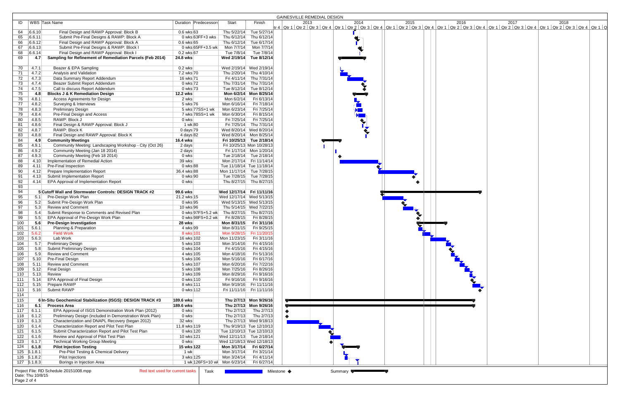|                   |                   |                                                                           |                 |                       |                                           |                           | GAINESVILLE REMEDIAL DESIGN                                                                                                                                                                                                  |
|-------------------|-------------------|---------------------------------------------------------------------------|-----------------|-----------------------|-------------------------------------------|---------------------------|------------------------------------------------------------------------------------------------------------------------------------------------------------------------------------------------------------------------------|
| ID                |                   | WBS   Task Name                                                           |                 | Duration Predecessors | Start                                     | Finish                    | 2014<br>2015<br>2016<br>2017<br>2018<br>2013                                                                                                                                                                                 |
|                   |                   |                                                                           |                 |                       |                                           |                           | tr 4   Qtr 1   Qtr 2   Qtr 3   Qtr 4   Qtr 1   Qtr 2   Qtr 3   Qtr 4   Qtr 1   Qtr 2   Qtr 3   Qtr 4   Qtr 2   Qtr 3   Qtr 4   Qtr 1   Qtr 3   Qtr 4   Qtr 1   Qtr 2   Qtr 3   Qtr 4   Qtr 1   Qtr 2   Qtr 3   Qtr 4   Qtr 1 |
|                   | 64 6.6.10         | Final Design and RAWP Approval: Block B                                   | 0.6 wks 63      |                       |                                           | Thu 5/22/14 Tue 5/27/14   |                                                                                                                                                                                                                              |
| 65                | 6.6.11            | Submit Pre-Final Designs & RAWP: Block A                                  |                 | $0$ wks 63FF+3 wks    | Thu 6/12/14 Thu 6/12/14                   |                           |                                                                                                                                                                                                                              |
| 66                | 6.6.12            | Final Design and RAWP Approval: Block A                                   | 0.6 wks 65      |                       |                                           | Thu 6/12/14 Tue 6/17/14   |                                                                                                                                                                                                                              |
| 67                | 6.6.13            | Submit Pre-Final Designs & RAWP: Block I                                  |                 | 0 wks 65FF+3.5 wk     | Mon 7/7/14                                | Mon 7/7/14                |                                                                                                                                                                                                                              |
| 68                | 6.6.14            | Final Design and RAWP Approval: Block I                                   | 0.2 wks 67      |                       | Tue 7/8/14                                | Tue 7/8/14                |                                                                                                                                                                                                                              |
| 69                | 4.7               | Sampling for Refinement of Remediation Parcels (Feb 2014)                 | 24.8 wks        |                       | Wed 2/19/14 Tue 8/12/14                   |                           |                                                                                                                                                                                                                              |
|                   |                   |                                                                           |                 |                       |                                           |                           |                                                                                                                                                                                                                              |
| 70                | 4.7.1             | Beazer & EPA Sampling                                                     | $0.2$ wks       |                       | Wed 2/19/14 Wed 2/19/14                   |                           |                                                                                                                                                                                                                              |
| 71                | 4.7.2             | Analysis and Validation                                                   | 7.2 wks 70      |                       |                                           | Thu 2/20/14 Thu 4/10/14   |                                                                                                                                                                                                                              |
| 72                | 4.7.3             | Data Summary Report Addendum                                              | 16 wks 71       |                       |                                           | Fri 4/11/14 Thu 7/31/14   |                                                                                                                                                                                                                              |
| 73                | 4.7.4             | Beazer Submit Report Addendum                                             | 0 wks 72        |                       |                                           | Thu 7/31/14 Thu 7/31/14   |                                                                                                                                                                                                                              |
| 74                | 4.7.5             | Call to discuss Report Addendum                                           | 0 wks 73        |                       |                                           | Tue 8/12/14 Tue 8/12/14   |                                                                                                                                                                                                                              |
|                   | 4.8               | <b>Blocks J &amp; K Remediation Design</b>                                | <b>12.2 wks</b> |                       |                                           | Mon 6/2/14 Mon 8/25/14    |                                                                                                                                                                                                                              |
| 75                |                   |                                                                           |                 |                       |                                           |                           |                                                                                                                                                                                                                              |
| 76                | 4.8.1             | Access Agreements for Design                                              | 2 wks           |                       | Mon 6/2/14                                | Fri 6/13/14               |                                                                                                                                                                                                                              |
| 77                | 4.8.2             | Surveying & Interviews                                                    | 5 wks 76        |                       | Mon 6/16/14                               | Fri 7/18/14               |                                                                                                                                                                                                                              |
| 78                | 4.8.3             | <b>Preliminary Design</b>                                                 |                 | 5 wks 77SS+1 wk       | Mon 6/23/14                               | Fri 7/25/14               |                                                                                                                                                                                                                              |
| 79                | 4.8.4             | Pre-Final Design and Access                                               |                 | 7 wks 78SS+1 wk       | Mon 6/30/14                               | Fri 8/15/14               |                                                                                                                                                                                                                              |
| 80                | 4.8.5             | RAWP: Block J                                                             | 0 wks           |                       | Fri 7/25/14                               | Fri 7/25/14               |                                                                                                                                                                                                                              |
| 81                | 4.8.6             | Final Design & RAWP Approval: Block J                                     | 1 wk 80         |                       |                                           | Fri 7/25/14 Thu 7/31/14   |                                                                                                                                                                                                                              |
| 82                | 4.8.7             | RAWP: Block K                                                             | 0 days 79       |                       | Wed 8/20/14 Wed 8/20/14                   |                           |                                                                                                                                                                                                                              |
| 83                | 4.8.8             | Final Design and RAWP Approval: Block K                                   | 4 days 82       |                       | Wed 8/20/14 Mon 8/25/14                   |                           |                                                                                                                                                                                                                              |
| 84                | 4.9               | <b>Community Meetings</b>                                                 | 16.4 wks        |                       | Fri 10/25/13 Tue 2/18/14                  |                           |                                                                                                                                                                                                                              |
| 85                | 4.9.1             | Community Meeting: Landscaping Workshop - City (Oct 26)                   | 2 days          |                       |                                           | Fri 10/25/13 Mon 10/28/13 |                                                                                                                                                                                                                              |
| 86                | 4.9.2             | Community Meeting (Jan 18 2014)                                           | 2 days          |                       |                                           | Fri 1/17/14 Mon 1/20/14   |                                                                                                                                                                                                                              |
| 87                | 4.9.3             | Community Meeting (Feb 18 2014)                                           | 0 wks           |                       |                                           | Tue 2/18/14 Tue 2/18/14   |                                                                                                                                                                                                                              |
| 88                | 4.10              | Implementation of Remedial Action                                         | 39 wks          |                       | Mon 2/17/14 Fri 11/14/14                  |                           |                                                                                                                                                                                                                              |
| 89                | 4.11              | Pre-Final Inspection                                                      | 0 wks 88        |                       | Tue 11/18/14 Tue 11/18/14                 |                           |                                                                                                                                                                                                                              |
| 90                | 4.12              | Prepare Implementation Report                                             | 36.4 wks 88     |                       | Mon 11/17/14 Tue 7/28/15                  |                           |                                                                                                                                                                                                                              |
| 91                | 4.13              | Submit Implementation Report                                              | 0 wks 90        |                       |                                           | Tue 7/28/15 Tue 7/28/15   |                                                                                                                                                                                                                              |
| 92                | 4.14              | EPA Approval of Implementation Report                                     | 0 wks           |                       |                                           | Thu 8/27/15 Thu 8/27/15   |                                                                                                                                                                                                                              |
| 93                |                   |                                                                           |                 |                       |                                           |                           |                                                                                                                                                                                                                              |
| 94                |                   | 5 Cutoff Wall and Stormwater Controls: DESIGN TRACK #2                    | 99.6 wks        |                       | Wed 12/17/14 Fri 11/11/16                 |                           |                                                                                                                                                                                                                              |
| 95                | 5.1               | Pre-Design Work Plan                                                      | 21.2 wks 15     |                       | Wed 12/17/14 Wed 5/13/15                  |                           |                                                                                                                                                                                                                              |
| 96                | 5.2               | Submit Pre-Design Work Plan                                               | 0 wks 95        |                       | Wed 5/13/15 Wed 5/13/15                   |                           |                                                                                                                                                                                                                              |
| 97                | 5.3               | <b>Review and Comment</b>                                                 | 10 wks 96       |                       |                                           | Thu 5/14/15 Wed 7/22/15   |                                                                                                                                                                                                                              |
| 98                | 5.4               | Submit Response to Comments and Revised Plan                              |                 |                       | 0 wks 97FS+5.2 wk Thu 8/27/15 Thu 8/27/15 |                           |                                                                                                                                                                                                                              |
|                   |                   | EPA Approval of Pre-Design Work Plan                                      |                 | 0 wks 98FS+0.2 wk     |                                           | Fri 8/28/15               |                                                                                                                                                                                                                              |
| 99                | 5.5               |                                                                           |                 |                       | Fri 8/28/15                               |                           |                                                                                                                                                                                                                              |
| 100               | 5.6               | <b>Pre-Design Investigation</b>                                           | 28 wks          |                       | Mon 8/31/15                               | Fri 3/11/16               |                                                                                                                                                                                                                              |
| 101               | 5.6.1             | Planning & Preparation                                                    | 4 wks 99        |                       | Mon 8/31/15                               | Fri 9/25/15               |                                                                                                                                                                                                                              |
| 102               | 5.6.2             | <b>Field Work</b>                                                         | 8 wks 101       |                       | Mon 9/28/15                               | Fri 11/20/15              |                                                                                                                                                                                                                              |
| 103               | 5.6.3             | Lab Work                                                                  | 16 wks 102      |                       | Mon 11/23/15                              | Fri 3/11/16               |                                                                                                                                                                                                                              |
| 104               | 5.7               | <b>Preliminary Design</b>                                                 | 5 wks 103       |                       | Mon 3/14/16                               | Fri 4/15/16               |                                                                                                                                                                                                                              |
| 105               | 5.8               | <b>Submit Preliminary Design</b>                                          | 0 wks 104       |                       | Fri 4/15/16                               | Fri 4/15/16               |                                                                                                                                                                                                                              |
| 106               | 5.9               | <b>Review and Comment</b>                                                 | 4 wks 105       |                       | Mon 4/18/16                               | Fri 5/13/16               | <b>Controller Street Bank</b>                                                                                                                                                                                                |
| 107               | 5.10              | Pre-Final Design                                                          | 5 wks 106       |                       | Mon 5/16/16                               | Fri 6/17/16               |                                                                                                                                                                                                                              |
| 108               | 5.11              | <b>Review and Comment</b>                                                 | 5 wks 107       |                       | Mon 6/20/16                               | Fri 7/22/16               |                                                                                                                                                                                                                              |
| 109               | 5.12              | Final Design                                                              | 5 wks 108       |                       | Mon 7/25/16                               | Fri 8/26/16               |                                                                                                                                                                                                                              |
| 110               | 5.13              | Review                                                                    | 3 wks 109       |                       | Mon 8/29/16                               | Fri 9/16/16               |                                                                                                                                                                                                                              |
| 111               | 5.14              | EPA Approval of Final Design                                              | 0 wks 110       |                       |                                           | Fri 9/16/16   Fri 9/16/16 |                                                                                                                                                                                                                              |
| 112               | 5.15              | Prepare RAWP                                                              | 8 wks 111       |                       | Mon 9/19/16 Fri 11/11/16                  |                           |                                                                                                                                                                                                                              |
| 113               |                   | 5.16 Submit RAWP                                                          | 0 wks 112       |                       |                                           | Fri 11/11/16 Fri 11/11/16 |                                                                                                                                                                                                                              |
| 114               |                   |                                                                           |                 |                       |                                           |                           |                                                                                                                                                                                                                              |
| 115               |                   | 6 In-Situ Geochemical Stabilization (ISGS): DESIGN TRACK #3               | 189.6 wks       |                       |                                           | Thu 2/7/13 Mon 9/26/16    |                                                                                                                                                                                                                              |
| 116               | 6.1               | <b>Process Area</b>                                                       | 189.6 wks       |                       |                                           | Thu 2/7/13 Mon 9/26/16    |                                                                                                                                                                                                                              |
| 117               | 6.1.1             | EPA Approval of ISGS Demonstration Work Plan (2012)                       | 0 wks           |                       | Thu 2/7/13                                | Thu 2/7/13                |                                                                                                                                                                                                                              |
| 118               | 6.1.2             | Preliminary Design (included in Demonstration Work Plan)                  | 0 wks           |                       | Thu 2/7/13                                | Thu 2/7/13                |                                                                                                                                                                                                                              |
| 119               | 6.1.3             | Characterization and DNAPL Recovery (began 2012)                          | 32 wks          |                       |                                           | Thu 2/7/13 Wed 9/18/13    |                                                                                                                                                                                                                              |
| 120               | 6.1.4             | Characterization Report and Pilot Test Plan                               | 11.8 wks 119    |                       |                                           | Thu 9/19/13 Tue 12/10/13  |                                                                                                                                                                                                                              |
| 121               | 6.1.5             | Submit Characterization Report and Pilot Test Plan                        | 0 wks 120       |                       | Tue 12/10/13 Tue 12/10/13                 |                           |                                                                                                                                                                                                                              |
| 122               | 6.1.6             | Review and Approval of Pilot Test Plan                                    | 10 wks 121      |                       | Wed 12/11/13 Tue 2/18/14                  |                           |                                                                                                                                                                                                                              |
| 123               | 6.1.7             | <b>Technical Working Group Meeting</b>                                    | 0 wks           |                       | Wed 12/18/13 Wed 12/18/13                 |                           |                                                                                                                                                                                                                              |
| 124               | 6.1.8             | <b>Pilot Injection Testing</b>                                            | 15 wks 122      |                       | Mon 3/17/14 Fri 6/27/14                   |                           |                                                                                                                                                                                                                              |
|                   | $125$ $5.1.8.1$   | Pre-Pilot Testing & Chemical Delivery                                     | 1 wk            |                       | Mon 3/17/14                               | Fri 3/21/14               |                                                                                                                                                                                                                              |
|                   | $126$   $3.1.8.2$ | Pilot Injections                                                          | 3 wks 125       |                       | Mon 3/24/14                               | Fri 4/11/14               |                                                                                                                                                                                                                              |
|                   | $127$ 6.1.8.3     | Borings in Injection Area                                                 |                 |                       |                                           | Fri 6/27/14               |                                                                                                                                                                                                                              |
|                   |                   |                                                                           |                 |                       |                                           |                           |                                                                                                                                                                                                                              |
|                   |                   | Project File: RD Schedule 20151008.mpp<br>Red text used for current tasks |                 | Task                  |                                           |                           | Milestone ◆<br>Summary                                                                                                                                                                                                       |
| Date: Thu 10/8/15 |                   |                                                                           |                 |                       |                                           |                           |                                                                                                                                                                                                                              |
| Page 2 of 4       |                   |                                                                           |                 |                       |                                           |                           |                                                                                                                                                                                                                              |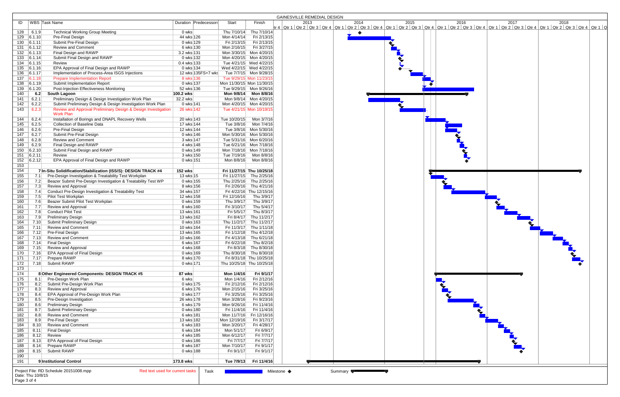|                              |                                                                                        |                          |                            |                                                    | GAINESVILLE REMEDIAL DESIGN                                                                                                                                                                                                  |
|------------------------------|----------------------------------------------------------------------------------------|--------------------------|----------------------------|----------------------------------------------------|------------------------------------------------------------------------------------------------------------------------------------------------------------------------------------------------------------------------------|
| ID                           | WBS Task Name                                                                          | Duration Predecessors    | Start                      | Finish                                             | 2015<br>2017<br>2014<br>2016<br>2018<br>2013                                                                                                                                                                                 |
|                              |                                                                                        |                          |                            |                                                    | tr 4   Qtr 1   Qtr 2   Qtr 3   Qtr 4   Qtr 1   Qtr 2   Qtr 3   Qtr 4   Qtr 1   Qtr 2   Qtr 3   Qtr 4   Qtr 1   Qtr 2   Qtr 3   Qtr 4   Qtr 1   Qtr 3   Qtr 4   Qtr 2   Qtr 3   Qtr 4   Qtr 2   Qtr 3   Qtr 4   Qtr 1   Qtr 2 |
| $128$ 6.1.9<br>$129$ 6.1.10  | <b>Technical Working Group Meeting</b><br>Pre-Final Design                             | 0 wks<br>44 wks 126      | Thu 7/10/14<br>Mon 4/14/14 | Thu 7/10/14<br>Fri 2/13/15                         | $\bullet$                                                                                                                                                                                                                    |
| 130   6.1.11                 | Submit Pre-Final Design                                                                | 0 wks 129                | Fri 2/13/15                | Fri 2/13/15                                        |                                                                                                                                                                                                                              |
| 131   6.1.12                 | <b>Review and Comment</b>                                                              | 6 wks 130                | Mon 2/16/15                | Fri 3/27/15                                        |                                                                                                                                                                                                                              |
| 132 6.1.13                   | Final Design and RAWP                                                                  | 3.2 wks 131              | Mon 3/30/15 Mon 4/20/15    |                                                    |                                                                                                                                                                                                                              |
| 133   6.1.14                 | Submit Final Design and RAWP                                                           | 0 wks 132                | Mon 4/20/15 Mon 4/20/15    |                                                    |                                                                                                                                                                                                                              |
| 134 6.1.15                   | Review                                                                                 | 0.4 wks 133              |                            | Tue 4/21/15 Wed 4/22/15                            |                                                                                                                                                                                                                              |
| $135$ 6.1.16                 | EPA Approval of Final Design and RAWP                                                  | 0 wks 134                | Wed 4/22/15 Wed 4/22/15    |                                                    |                                                                                                                                                                                                                              |
| 136 6.1.17                   | Implementation of Process-Area ISGS Injections                                         | 12 wks 135FS+7 wks       |                            | Tue 7/7/15 Mon 9/28/15                             |                                                                                                                                                                                                                              |
| 137   6.1.18                 | <b>Prepare Implementation Report</b>                                                   | 8 wks 136                | Tue 9/29/15 Mon 11/23/15   |                                                    |                                                                                                                                                                                                                              |
| 138 6.1.19                   | Submit Implementation Report                                                           | 0 wks 137                | Mon 11/30/15 Mon 11/30/15  |                                                    |                                                                                                                                                                                                                              |
| 139 6.1.20                   | Post-Injection Effectiveness Monitoring                                                | 52 wks 136               |                            | Tue 9/29/15 Mon 9/26/16                            |                                                                                                                                                                                                                              |
| 140                          | South Lagoon<br>6.2                                                                    | 100.2 wks                |                            | Mon 9/8/14 Mon 8/8/16                              |                                                                                                                                                                                                                              |
| 141<br>6.2.1                 | Preliminary Design & Design Investigation Work Plan                                    | 32.2 wks                 |                            | Mon 9/8/14 Mon 4/20/15                             |                                                                                                                                                                                                                              |
| 6.2.2<br>142                 | Submit Preliminary Design & Design Investigation Work Plan                             | 0 wks 141                | Mon 4/20/15 Mon 4/20/15    |                                                    |                                                                                                                                                                                                                              |
| 143<br>6.2.3                 | Review and Approval Preliminary Design & Design Investigation                          | 26 wks 142               |                            | Tue 4/21/15 Mon 10/19/15                           |                                                                                                                                                                                                                              |
|                              | <b>Work Plan</b>                                                                       |                          | Tue 10/20/15               | Mon 3/7/16                                         |                                                                                                                                                                                                                              |
| 144<br>6.2.4<br>145<br>6.2.5 | Installation of Borings and DNAPL Recovery Wells<br><b>Collection of Baseline Data</b> | 20 wks 143<br>17 wks 144 |                            |                                                    |                                                                                                                                                                                                                              |
| 146<br>6.2.6                 | Pre-Final Design                                                                       | 12 wks 144               |                            | Tue 3/8/16 Mon 5/30/16                             |                                                                                                                                                                                                                              |
| 147<br>6.2.7                 | Submit Pre-Final Design                                                                | 0 wks 146                | Mon 5/30/16 Mon 5/30/16    |                                                    |                                                                                                                                                                                                                              |
| 6.2.8<br>148                 | <b>Review and Comment</b>                                                              | 3 wks 147                | Tue 5/31/16 Mon 6/20/16    |                                                    |                                                                                                                                                                                                                              |
| 149<br>6.2.9                 | Final Design and RAWP                                                                  | 4 wks 148                |                            | Tue 6/21/16 Mon 7/18/16                            |                                                                                                                                                                                                                              |
| 150   6.2.10                 | Submit Final Design and RAWP                                                           | 0 wks 149                | Mon 7/18/16 Mon 7/18/16    |                                                    |                                                                                                                                                                                                                              |
| $151$ 6.2.11                 | Review                                                                                 | 3 wks 150                |                            | Tue 7/19/16    Mon 8/8/16                          |                                                                                                                                                                                                                              |
| 152   6.2.12                 | EPA Approval of Final Design and RAWP                                                  | 0 wks 151                |                            | Mon 8/8/16    Mon 8/8/16                           |                                                                                                                                                                                                                              |
| 153                          |                                                                                        |                          |                            |                                                    |                                                                                                                                                                                                                              |
| 154                          | 7 In-Situ Solidification/Stabilization (ISS/S): DESIGN TRACK #4                        | <b>152 wks</b>           | Fri 11/27/15 Thu 10/25/18  |                                                    |                                                                                                                                                                                                                              |
| 155                          | Pre-Design Investigation & Treatability Test Workplan<br>7.1                           | 13 wks 15                |                            | Fri 11/27/15 Thu 2/25/16                           |                                                                                                                                                                                                                              |
| 156                          | Beazer Submit Pre-Design Investigation & Treatability Test WP<br>7.2                   | 0 wks 155                |                            | Thu 2/25/16 Thu 2/25/16                            |                                                                                                                                                                                                                              |
| 157                          | Review and Approval<br>7.3                                                             | 8 wks 156                |                            | Fri 2/26/16 Thu 4/21/16                            |                                                                                                                                                                                                                              |
| 158                          | Conduct Pre-Design Investigation & Treatability Test<br>7.4                            | 34 wks 157               |                            | Fri 4/22/16 Thu 12/15/16                           |                                                                                                                                                                                                                              |
| 159                          | 7.5<br>Pilot Test Workplan                                                             | 12 wks 158               | Fri 12/16/16               | Thu 3/9/17                                         |                                                                                                                                                                                                                              |
| 160                          | Beazer Submit Pilot Test Workplan<br>7.6                                               | 0 wks 159                | Thu 3/9/17                 | Thu 3/9/17                                         |                                                                                                                                                                                                                              |
| 161                          | Review and Approval<br>7.7                                                             | 8 wks 160                | Fri 3/10/17                | Thu 5/4/17                                         |                                                                                                                                                                                                                              |
| 162                          | <b>Conduct Pilot Test</b><br>7.8                                                       | 13 wks 161               | Fri 5/5/17                 | Thu 8/3/17                                         |                                                                                                                                                                                                                              |
| 163                          | <b>Preliminary Design</b><br>7.9                                                       | 13 wks 162               |                            | Fri 8/4/17 Thu 11/2/17                             |                                                                                                                                                                                                                              |
| 164<br>7.10<br>165<br>7.11   | Submit Preliminary Design<br>Review and Comment                                        | 0 wks 163<br>10 wks 164  |                            | Thu 11/2/17 Thu 11/2/17<br>Fri 11/3/17 Thu 1/11/18 |                                                                                                                                                                                                                              |
| 166<br>7.12                  | Pre-Final Design                                                                       | 13 wks 165               |                            | Fri 1/12/18 Thu 4/12/18                            |                                                                                                                                                                                                                              |
| 7.13<br>167                  | <b>Review and Comment</b>                                                              | 10 wks 166               | Fri 4/13/18                | Thu 6/21/18                                        |                                                                                                                                                                                                                              |
| 168<br>7.14                  | Final Design                                                                           | 6 wks 167                | Fri 6/22/18                | Thu 8/2/18                                         |                                                                                                                                                                                                                              |
| 169<br>7.15                  | Review and Approval                                                                    | 4 wks 168                |                            | Fri 8/3/18 Thu 8/30/18                             |                                                                                                                                                                                                                              |
| 7.16<br>170                  | EPA Approval of Final Design                                                           | 0 wks 169                |                            | Thu 8/30/18 Thu 8/30/18                            |                                                                                                                                                                                                                              |
| 171<br>7.17                  | Prepare RAWP                                                                           | 8 wks 170                |                            | Fri 8/31/18 Thu 10/25/18                           |                                                                                                                                                                                                                              |
| 172                          | 7.18 Submit RAWP                                                                       | 0 wks 171                | Thu 10/25/18 Thu 10/25/18  |                                                    |                                                                                                                                                                                                                              |
| 173                          |                                                                                        |                          |                            |                                                    |                                                                                                                                                                                                                              |
| 174                          | 8 Other Engineered Components: DESIGN TRACK #5                                         | 87 wks                   | Mon 1/4/16                 | Fri 9/1/17                                         |                                                                                                                                                                                                                              |
| $\overline{175}$             | Pre-Design Work Plan<br>8.1                                                            | 6 wks                    | Mon 1/4/16                 | Fri 2/12/16                                        |                                                                                                                                                                                                                              |
| 176                          | Submit Pre-Design Work Plan<br>8.2                                                     | 0 wks 175                | Fri 2/12/16                | Fri 2/12/16                                        |                                                                                                                                                                                                                              |
| 177                          | Review and Approval<br>8.3                                                             | 6 wks 176                | Mon 2/15/16                | Fri 3/25/16                                        |                                                                                                                                                                                                                              |
| 178                          | EPA Approval of Pre-Design Work Plan<br>8.4<br>Pre-Design Investigation                | 0 wks 177<br>26 wks 178  | Fri 3/25/16                | Fri 3/25/16                                        |                                                                                                                                                                                                                              |
| 179<br>180                   | 8.5<br><b>Preliminary Design</b><br>8.6                                                | 6 wks 179                | Mon 3/28/16<br>Mon 9/26/16 | Fri 9/23/16<br>Fri 11/4/16                         |                                                                                                                                                                                                                              |
| 181                          | <b>Submit Preliminary Design</b><br>8.7                                                | 0 wks 180                | Fri 11/4/16                | Fri 11/4/16                                        |                                                                                                                                                                                                                              |
| 182                          | <b>Review and Comment</b><br>8.8                                                       | 6 wks 181                | Mon 11/7/16                | Fri 12/16/16                                       |                                                                                                                                                                                                                              |
| 183                          | Pre-Final Design<br>8.9                                                                | 13 wks 182               | Mon 12/19/16               | Fri 3/17/17                                        |                                                                                                                                                                                                                              |
| 184                          | <b>Review and Comment</b><br>8.10                                                      | 6 wks 183                | Mon 3/20/17                | Fri 4/28/17                                        |                                                                                                                                                                                                                              |
| 185<br>8.11                  | <b>Final Design</b>                                                                    | 6 wks 184                | Mon 5/1/17                 | Fri 6/9/17                                         |                                                                                                                                                                                                                              |
| 186<br>8.12                  | Review                                                                                 | 4 wks 185                | Mon 6/12/17                | Fri 7/7/17                                         |                                                                                                                                                                                                                              |
| 187<br>8.13                  | EPA Approval of Final Design                                                           | 0 wks 186                | Fri 7/7/17                 | Fri 7/7/17                                         |                                                                                                                                                                                                                              |
| 188<br>8.14                  | Prepare RAWP                                                                           | 8 wks 187                | Mon 7/10/17                | Fri 9/1/17                                         |                                                                                                                                                                                                                              |
| 189                          | 8.15 Submit RAWP                                                                       | 0 wks 188                | Fri 9/1/17                 | Fri 9/1/17                                         |                                                                                                                                                                                                                              |
| 190                          |                                                                                        |                          |                            |                                                    |                                                                                                                                                                                                                              |
| 191                          | 9 Institutional Control                                                                | 173.8 wks                |                            | Tue 7/9/13   Fri 11/4/16                           |                                                                                                                                                                                                                              |
|                              |                                                                                        |                          |                            |                                                    |                                                                                                                                                                                                                              |
| Date: Thu 10/8/15            | Red text used for current tasks<br>Project File: RD Schedule 20151008.mpp              | Task                     |                            |                                                    | Milestone ◆<br>Summary                                                                                                                                                                                                       |
| Page 3 of 4                  |                                                                                        |                          |                            |                                                    |                                                                                                                                                                                                                              |